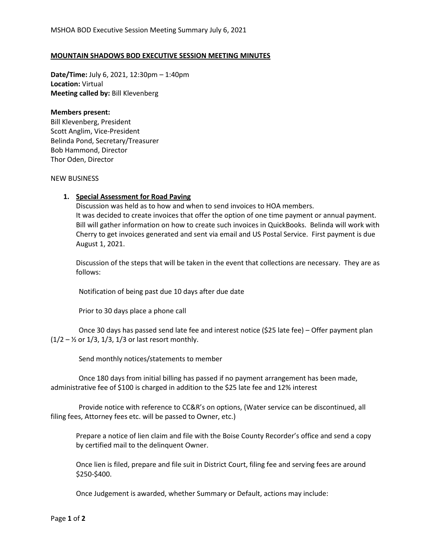## **MOUNTAIN SHADOWS BOD EXECUTIVE SESSION MEETING MINUTES**

**Date/Time:** July 6, 2021, 12:30pm – 1:40pm **Location:** Virtual **Meeting called by:** Bill Klevenberg

## **Members present:**

Bill Klevenberg, President Scott Anglim, Vice-President Belinda Pond, Secretary/Treasurer Bob Hammond, Director Thor Oden, Director

## NEW BUSINESS

## **1. Special Assessment for Road Paving**

Discussion was held as to how and when to send invoices to HOA members. It was decided to create invoices that offer the option of one time payment or annual payment. Bill will gather information on how to create such invoices in QuickBooks. Belinda will work with Cherry to get invoices generated and sent via email and US Postal Service. First payment is due August 1, 2021.

Discussion of the steps that will be taken in the event that collections are necessary. They are as follows:

Notification of being past due 10 days after due date

Prior to 30 days place a phone call

 Once 30 days has passed send late fee and interest notice (\$25 late fee) – Offer payment plan  $(1/2 - 1/2)$  or  $1/3$ ,  $1/3$ ,  $1/3$  or last resort monthly.

Send monthly notices/statements to member

 Once 180 days from initial billing has passed if no payment arrangement has been made, administrative fee of \$100 is charged in addition to the \$25 late fee and 12% interest

 Provide notice with reference to CC&R's on options, (Water service can be discontinued, all filing fees, Attorney fees etc. will be passed to Owner, etc.)

Prepare a notice of lien claim and file with the Boise County Recorder's office and send a copy by certified mail to the delinquent Owner.

Once lien is filed, prepare and file suit in District Court, filing fee and serving fees are around \$250-\$400.

Once Judgement is awarded, whether Summary or Default, actions may include: